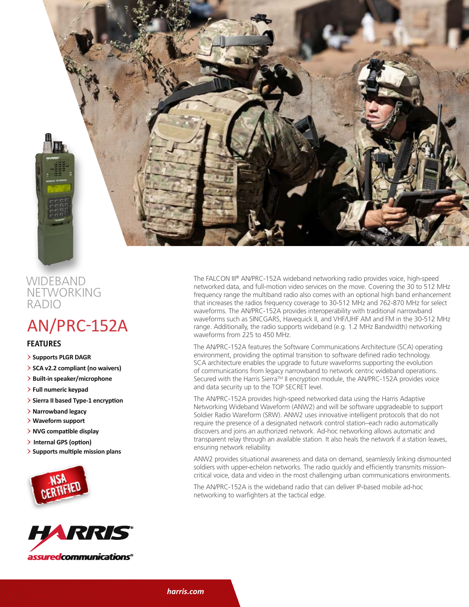

### **WIDEBAND NETWORKING** radio

# AN/PRC-152A

#### **features**

- > **Supports PLGR DAGR**
- > **SCA v2.2 compliant (no waivers)**
- > **Built-in speaker/microphone**
- > **Full numeric keypad**
- > **Sierra II based Type-1 encryption**
- > **Narrowband legacy**
- > **Waveform support**
- > **NVG compatible display**
- > **Internal GPS (option)**
- > **Supports multiple mission plans**





The FALCON III® AN/PRC-152A wideband networking radio provides voice, high-speed networked data, and full-motion video services on the move. Covering the 30 to 512 MHz frequency range the multiband radio also comes with an optional high band enhancement that increases the radios frequency coverage to 30-512 MHz and 762-870 MHz for select waveforms. The AN/PRC-152A provides interoperability with traditional narrowband waveforms such as SINCGARS, Havequick II, and VHF/UHF AM and FM in the 30-512 MHz range. Additionally, the radio supports wideband (e.g. 1.2 MHz Bandwidth) networking waveforms from 225 to 450 MHz.

The AN/PRC-152A features the Software Communications Architecture (SCA) operating environment, providing the optimal transition to software defined radio technology. SCA architecture enables the upgrade to future waveforms supporting the evolution of communications from legacy narrowband to network centric wideband operations. Secured with the Harris Sierra<sup>TM</sup> II encryption module, the AN/PRC-152A provides voice and data security up to the TOP SECRET level.

The AN/PRC-152A provides high-speed networked data using the Harris Adaptive Networking Wideband Waveform (ANW2) and will be software upgradeable to support Soldier Radio Wareform (SRW). ANW2 uses innovative intelligent protocols that do not require the presence of a designated network control station–each radio automatically discovers and joins an authorized network. Ad-hoc networking allows automatic and transparent relay through an available station. It also heals the network if a station leaves, ensuring network reliability.

ANW2 provides situational awareness and data on demand, seamlessly linking dismounted soldiers with upper-echelon networks. The radio quickly and efficiently transmits missioncritical voice, data and video in the most challenging urban communications environments.

The AN/PRC-152A is the wideband radio that can deliver IP-based mobile ad-hoc networking to warfighters at the tactical edge.

*harris.com*